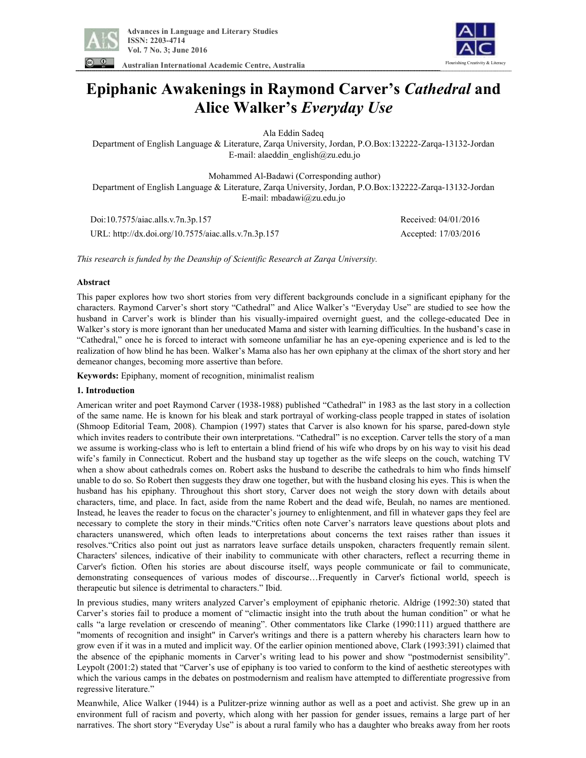

**Australian International Academic Centre, Australia** 

# **Epiphanic Awakenings in Raymond Carver's** *Cathedral* **and Alice Walker's** *Everyday Use*

Ala Eddin Sadeq

Department of English Language & Literature, Zarqa University, Jordan, P.O.Box:132222-Zarqa-13132-Jordan E-mail: alaeddin\_english@zu.edu.jo

Mohammed Al-Badawi (Corresponding author)

Department of English Language & Literature, Zarqa University, Jordan, P.O.Box:132222-Zarqa-13132-Jordan E-mail: mbadawi@zu.edu.jo

 Doi:10.7575/aiac.alls.v.7n.3p.157 Received: 04/01/2016 URL: http://dx.doi.org/10.7575/aiac.alls.v.7n.3p.157 Accepted: 17/03/2016

Flourishing Creativity & Literacy

*This research is funded by the Deanship of Scientific Research at Zarqa University.* 

### **Abstract**

This paper explores how two short stories from very different backgrounds conclude in a significant epiphany for the characters. Raymond Carver's short story "Cathedral" and Alice Walker's "Everyday Use" are studied to see how the husband in Carver's work is blinder than his visually-impaired overnight guest, and the college-educated Dee in Walker's story is more ignorant than her uneducated Mama and sister with learning difficulties. In the husband's case in "Cathedral," once he is forced to interact with someone unfamiliar he has an eye-opening experience and is led to the realization of how blind he has been. Walker's Mama also has her own epiphany at the climax of the short story and her demeanor changes, becoming more assertive than before.

**Keywords:** Epiphany, moment of recognition, minimalist realism

## **1. Introduction**

American writer and poet Raymond Carver (1938-1988) published "Cathedral" in 1983 as the last story in a collection of the same name. He is known for his bleak and stark portrayal of working-class people trapped in states of isolation (Shmoop Editorial Team, 2008). Champion (1997) states that Carver is also known for his sparse, pared-down style which invites readers to contribute their own interpretations. "Cathedral" is no exception. Carver tells the story of a man we assume is working-class who is left to entertain a blind friend of his wife who drops by on his way to visit his dead wife's family in Connecticut. Robert and the husband stay up together as the wife sleeps on the couch, watching TV when a show about cathedrals comes on. Robert asks the husband to describe the cathedrals to him who finds himself unable to do so. So Robert then suggests they draw one together, but with the husband closing his eyes. This is when the husband has his epiphany. Throughout this short story, Carver does not weigh the story down with details about characters, time, and place. In fact, aside from the name Robert and the dead wife, Beulah, no names are mentioned. Instead, he leaves the reader to focus on the character's journey to enlightenment, and fill in whatever gaps they feel are necessary to complete the story in their minds."Critics often note Carver's narrators leave questions about plots and characters unanswered, which often leads to interpretations about concerns the text raises rather than issues it resolves."Critics also point out just as narrators leave surface details unspoken, characters frequently remain silent. Characters' silences, indicative of their inability to communicate with other characters, reflect a recurring theme in Carver's fiction. Often his stories are about discourse itself, ways people communicate or fail to communicate, demonstrating consequences of various modes of discourse…Frequently in Carver's fictional world, speech is therapeutic but silence is detrimental to characters." Ibid.

In previous studies, many writers analyzed Carver's employment of epiphanic rhetoric. Aldrige (1992:30) stated that Carver's stories fail to produce a moment of "climactic insight into the truth about the human condition" or what he calls "a large revelation or crescendo of meaning". Other commentators like Clarke (1990:111) argued thatthere are "moments of recognition and insight" in Carver's writings and there is a pattern whereby his characters learn how to grow even if it was in a muted and implicit way. Of the earlier opinion mentioned above, Clark (1993:391) claimed that the absence of the epiphanic moments in Carver's writing lead to his power and show "postmodernist sensibility". Leypolt (2001:2) stated that "Carver's use of epiphany is too varied to conform to the kind of aesthetic stereotypes with which the various camps in the debates on postmodernism and realism have attempted to differentiate progressive from regressive literature."

Meanwhile, Alice Walker (1944) is a Pulitzer-prize winning author as well as a poet and activist. She grew up in an environment full of racism and poverty, which along with her passion for gender issues, remains a large part of her narratives. The short story "Everyday Use" is about a rural family who has a daughter who breaks away from her roots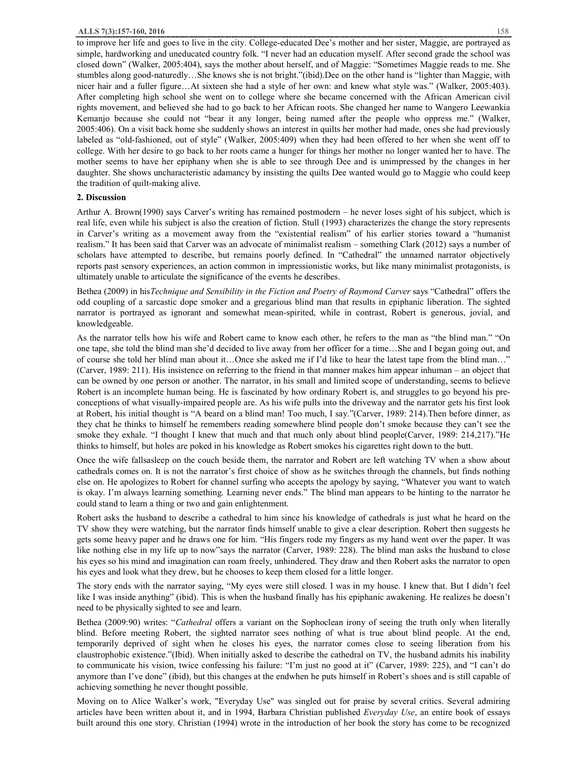to improve her life and goes to live in the city. College-educated Dee's mother and her sister, Maggie, are portrayed as simple, hardworking and uneducated country folk. "I never had an education myself. After second grade the school was closed down" (Walker, 2005:404), says the mother about herself, and of Maggie: "Sometimes Maggie reads to me. She stumbles along good-naturedly…She knows she is not bright."(ibid).Dee on the other hand is "lighter than Maggie, with nicer hair and a fuller figure…At sixteen she had a style of her own: and knew what style was." (Walker, 2005:403). After completing high school she went on to college where she became concerned with the African American civil rights movement, and believed she had to go back to her African roots. She changed her name to Wangero Leewankia Kemanjo because she could not "bear it any longer, being named after the people who oppress me." (Walker, 2005:406). On a visit back home she suddenly shows an interest in quilts her mother had made, ones she had previously labeled as "old-fashioned, out of style" (Walker, 2005:409) when they had been offered to her when she went off to college. With her desire to go back to her roots came a hunger for things her mother no longer wanted her to have. The mother seems to have her epiphany when she is able to see through Dee and is unimpressed by the changes in her daughter. She shows uncharacteristic adamancy by insisting the quilts Dee wanted would go to Maggie who could keep the tradition of quilt-making alive.

#### **2. Discussion**

Arthur A. Brown(1990) says Carver's writing has remained postmodern – he never loses sight of his subject, which is real life, even while his subject is also the creation of fiction. Stull (1993) characterizes the change the story represents in Carver's writing as a movement away from the "existential realism" of his earlier stories toward a "humanist realism." It has been said that Carver was an advocate of minimalist realism – something Clark (2012) says a number of scholars have attempted to describe, but remains poorly defined. In "Cathedral" the unnamed narrator objectively reports past sensory experiences, an action common in impressionistic works, but like many minimalist protagonists, is ultimately unable to articulate the significance of the events he describes.

Bethea (2009) in his*Technique and Sensibility in the Fiction and Poetry of Raymond Carver* says "Cathedral" offers the odd coupling of a sarcastic dope smoker and a gregarious blind man that results in epiphanic liberation. The sighted narrator is portrayed as ignorant and somewhat mean-spirited, while in contrast, Robert is generous, jovial, and knowledgeable.

As the narrator tells how his wife and Robert came to know each other, he refers to the man as "the blind man." "On one tape, she told the blind man she'd decided to live away from her officer for a time…She and I began going out, and of course she told her blind man about it…Once she asked me if I'd like to hear the latest tape from the blind man…" (Carver, 1989: 211). His insistence on referring to the friend in that manner makes him appear inhuman – an object that can be owned by one person or another. The narrator, in his small and limited scope of understanding, seems to believe Robert is an incomplete human being. He is fascinated by how ordinary Robert is, and struggles to go beyond his preconceptions of what visually-impaired people are. As his wife pulls into the driveway and the narrator gets his first look at Robert, his initial thought is "A beard on a blind man! Too much, I say."(Carver, 1989: 214).Then before dinner, as they chat he thinks to himself he remembers reading somewhere blind people don't smoke because they can't see the smoke they exhale. "I thought I knew that much and that much only about blind people(Carver, 1989: 214,217)."He thinks to himself, but holes are poked in his knowledge as Robert smokes his cigarettes right down to the butt.

Once the wife fallsasleep on the couch beside them, the narrator and Robert are left watching TV when a show about cathedrals comes on. It is not the narrator's first choice of show as he switches through the channels, but finds nothing else on. He apologizes to Robert for channel surfing who accepts the apology by saying, "Whatever you want to watch is okay. I'm always learning something. Learning never ends." The blind man appears to be hinting to the narrator he could stand to learn a thing or two and gain enlightenment.

Robert asks the husband to describe a cathedral to him since his knowledge of cathedrals is just what he heard on the TV show they were watching, but the narrator finds himself unable to give a clear description. Robert then suggests he gets some heavy paper and he draws one for him. "His fingers rode my fingers as my hand went over the paper. It was like nothing else in my life up to now"says the narrator (Carver, 1989: 228). The blind man asks the husband to close his eyes so his mind and imagination can roam freely, unhindered. They draw and then Robert asks the narrator to open his eyes and look what they drew, but he chooses to keep them closed for a little longer.

The story ends with the narrator saying, "My eyes were still closed. I was in my house. I knew that. But I didn't feel like I was inside anything" (ibid). This is when the husband finally has his epiphanic awakening. He realizes he doesn't need to be physically sighted to see and learn.

Bethea (2009:90) writes: "*Cathedral* offers a variant on the Sophoclean irony of seeing the truth only when literally blind. Before meeting Robert, the sighted narrator sees nothing of what is true about blind people. At the end, temporarily deprived of sight when he closes his eyes, the narrator comes close to seeing liberation from his claustrophobic existence."(Ibid). When initially asked to describe the cathedral on TV, the husband admits his inability to communicate his vision, twice confessing his failure: "I'm just no good at it" (Carver, 1989: 225), and "I can't do anymore than I've done" (ibid), but this changes at the endwhen he puts himself in Robert's shoes and is still capable of achieving something he never thought possible.

Moving on to Alice Walker's work, "Everyday Use" was singled out for praise by several critics. Several admiring articles have been written about it, and in 1994, Barbara Christian published *Everyday Use*, an entire book of essays built around this one story. Christian (1994) wrote in the introduction of her book the story has come to be recognized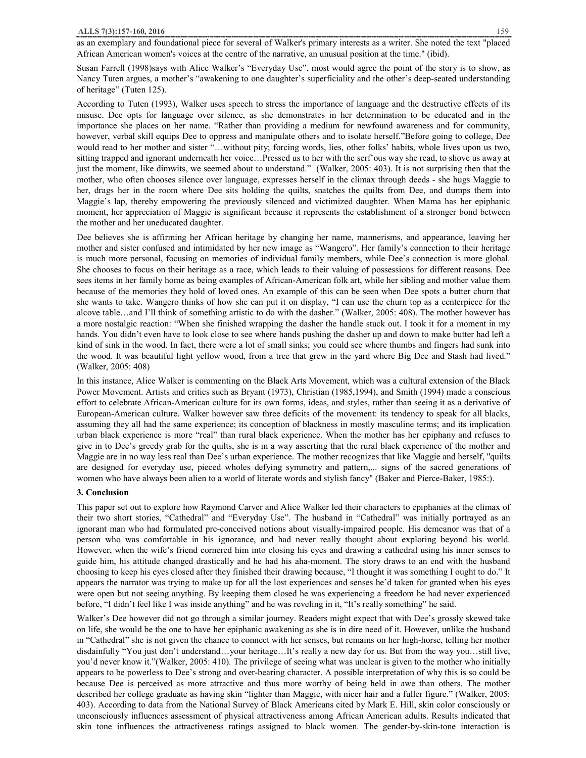as an exemplary and foundational piece for several of Walker's primary interests as a writer. She noted the text "placed African American women's voices at the centre of the narrative, an unusual position at the time." (ibid).

Susan Farrell (1998)says with Alice Walker's "Everyday Use", most would agree the point of the story is to show, as Nancy Tuten argues, a mother's "awakening to one daughter's superficiality and the other's deep-seated understanding of heritage" (Tuten 125).

According to Tuten (1993), Walker uses speech to stress the importance of language and the destructive effects of its misuse. Dee opts for language over silence, as she demonstrates in her determination to be educated and in the importance she places on her name. "Rather than providing a medium for newfound awareness and for community, however, verbal skill equips Dee to oppress and manipulate others and to isolate herself."Before going to college, Dee would read to her mother and sister "...without pity; forcing words, lies, other folks' habits, whole lives upon us two, sitting trapped and ignorant underneath her voice…Pressed us to her with the serf'ous way she read, to shove us away at just the moment, like dimwits, we seemed about to understand." (Walker, 2005: 403). It is not surprising then that the mother, who often chooses silence over language, expresses herself in the climax through deeds - she hugs Maggie to her, drags her in the room where Dee sits holding the quilts, snatches the quilts from Dee, and dumps them into Maggie's lap, thereby empowering the previously silenced and victimized daughter. When Mama has her epiphanic moment, her appreciation of Maggie is significant because it represents the establishment of a stronger bond between the mother and her uneducated daughter.

Dee believes she is affirming her African heritage by changing her name, mannerisms, and appearance, leaving her mother and sister confused and intimidated by her new image as "Wangero". Her family's connection to their heritage is much more personal, focusing on memories of individual family members, while Dee's connection is more global. She chooses to focus on their heritage as a race, which leads to their valuing of possessions for different reasons. Dee sees items in her family home as being examples of African-American folk art, while her sibling and mother value them because of the memories they hold of loved ones. An example of this can be seen when Dee spots a butter churn that she wants to take. Wangero thinks of how she can put it on display, "I can use the churn top as a centerpiece for the alcove table…and I'll think of something artistic to do with the dasher." (Walker, 2005: 408). The mother however has a more nostalgic reaction: "When she finished wrapping the dasher the handle stuck out. I took it for a moment in my hands. You didn't even have to look close to see where hands pushing the dasher up and down to make butter had left a kind of sink in the wood. In fact, there were a lot of small sinks; you could see where thumbs and fingers had sunk into the wood. It was beautiful light yellow wood, from a tree that grew in the yard where Big Dee and Stash had lived." (Walker, 2005: 408)

In this instance, Alice Walker is commenting on the Black Arts Movement, which was a cultural extension of the Black Power Movement. Artists and critics such as Bryant (1973), Christian (1985,1994), and Smith (1994) made a conscious effort to celebrate African-American culture for its own forms, ideas, and styles, rather than seeing it as a derivative of European-American culture. Walker however saw three deficits of the movement: its tendency to speak for all blacks, assuming they all had the same experience; its conception of blackness in mostly masculine terms; and its implication urban black experience is more "real" than rural black experience. When the mother has her epiphany and refuses to give in to Dee's greedy grab for the quilts, she is in a way asserting that the rural black experience of the mother and Maggie are in no way less real than Dee's urban experience. The mother recognizes that like Maggie and herself, ''quilts are designed for everyday use, pieced wholes defying symmetry and pattern,... signs of the sacred generations of women who have always been alien to a world of literate words and stylish fancy" (Baker and Pierce-Baker, 1985:).

#### **3. Conclusion**

This paper set out to explore how Raymond Carver and Alice Walker led their characters to epiphanies at the climax of their two short stories, "Cathedral" and "Everyday Use". The husband in "Cathedral" was initially portrayed as an ignorant man who had formulated pre-conceived notions about visually-impaired people. His demeanor was that of a person who was comfortable in his ignorance, and had never really thought about exploring beyond his world. However, when the wife's friend cornered him into closing his eyes and drawing a cathedral using his inner senses to guide him, his attitude changed drastically and he had his aha-moment. The story draws to an end with the husband choosing to keep his eyes closed after they finished their drawing because, "I thought it was something I ought to do." It appears the narrator was trying to make up for all the lost experiences and senses he'd taken for granted when his eyes were open but not seeing anything. By keeping them closed he was experiencing a freedom he had never experienced before, "I didn't feel like I was inside anything" and he was reveling in it, "It's really something" he said.

Walker's Dee however did not go through a similar journey. Readers might expect that with Dee's grossly skewed take on life, she would be the one to have her epiphanic awakening as she is in dire need of it. However, unlike the husband in "Cathedral" she is not given the chance to connect with her senses, but remains on her high-horse, telling her mother disdainfully "You just don't understand…your heritage…It's really a new day for us. But from the way you…still live, you'd never know it."(Walker, 2005: 410). The privilege of seeing what was unclear is given to the mother who initially appears to be powerless to Dee's strong and over-bearing character. A possible interpretation of why this is so could be because Dee is perceived as more attractive and thus more worthy of being held in awe than others. The mother described her college graduate as having skin "lighter than Maggie, with nicer hair and a fuller figure." (Walker, 2005: 403). According to data from the National Survey of Black Americans cited by Mark E. Hill, skin color consciously or unconsciously influences assessment of physical attractiveness among African American adults. Results indicated that skin tone influences the attractiveness ratings assigned to black women. The gender-by-skin-tone interaction is